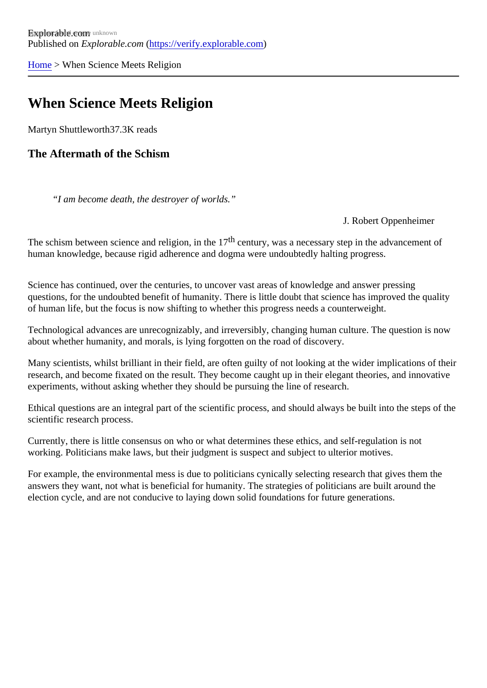[Home](https://verify.explorable.com/)> When Science Meets Religion

## When Science Meets Religion

Martyn Shuttlewort<sup>87.3K</sup> reads

The Aftermath of the Schism

"I am become death, the destroyer of worlds."

#### J. Robert Oppenheimer

The schism between science and religion, in the dentury, was a necessary step in the advancement of human knowledge, because rigid adherence and dogma were undoubtedly halting progress.

Science has continued, over the centuries, to uncover vast areas of knowledge and answer pressing questions, for the undoubted benefit of humanity. There is little doubt that science has improved the qualit of human life, but the focus is now shifting to whether this progress needs a counterweight.

Technological advances are unrecognizably, and irreversibly, changing human culture. The question is now about whether humanity, and morals, is lying forgotten on the road of discovery.

Many scientists, whilst brilliant in their field, are often guilty of not looking at the wider implications of their research, and become fixated on the result. They become caught up in their elegant theories, and innovat experiments, without asking whether they should be pursuing the line of research.

Ethical questions are an integral part of the scientific process, and should always be built into the steps of the scientific research process.

Currently, there is little consensus on who or what determines these ethics, and self-regulation is not working. Politicians make laws, but their judgment is suspect and subject to ulterior motives.

For example, the environmental mess is due to politicians cynically selecting research that gives them the answers they want, not what is beneficial for humanity. The strategies of politicians are built around the election cycle, and are not conducive to laying down solid foundations for future generations.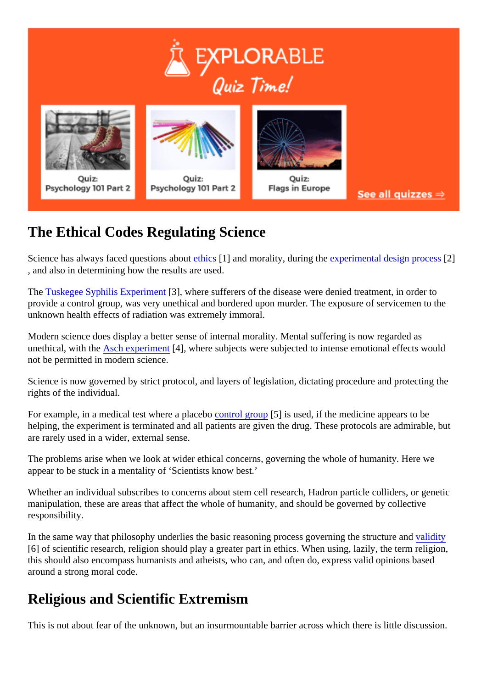# The Ethical Codes Regulating Science

Science has always faced questions a[bout ethics](https://verify.explorable.com/ethics-in-research) and morality, during th[experimental design proce](https://verify.explorable.com/design-of-experiment)ss , and also in determining how the results are used.

The [Tuskegee Syphilis Experime](https://verify.explorable.com/tuskegee-syphilis-study)<sup>r</sup>st, where sufferers of the disease were denied treatment, in order to provide a control group, was very unethical and bordered upon murder. The exposure of servicemen to the unknown health effects of radiation was extremely immoral.

Modern science does display a better sense of internal morality. Mental suffering is now regarded as unethical, with th[e Asch experimen](https://verify.explorable.com/asch-experiment)t4], where subjects were subjected to intense emotional effects would not be permitted in modern science.

Science is now governed by strict protocol, and layers of legislation, dictating procedure and protecting the rights of the individual.

For example, in a medical test where a placebut of group [5] is used, if the medicine appears to be helping, the experiment is terminated and all patients are given the drug. These protocols are admirable, but are rarely used in a wider, external sense.

The problems arise when we look at wider ethical concerns, governing the whole of humanity. Here we appear to be stuck in a mentality of 'Scientists know best.'

Whether an individual subscribes to concerns about stem cell research, Hadron particle colliders, or genet manipulation, these are areas that affect the whole of humanity, and should be governed by collective responsibility.

In the same way that philosophy underlies the basic reasoning process governing the strucalinety and [6] of scientific research, religion should play a greater part in ethics. When using, lazily, the term religion, this should also encompass humanists and atheists, who can, and often do, express valid opinions based around a strong moral code.

## Religious and Scientific Extremism

This is not about fear of the unknown, but an insurmountable barrier across which there is little discussion.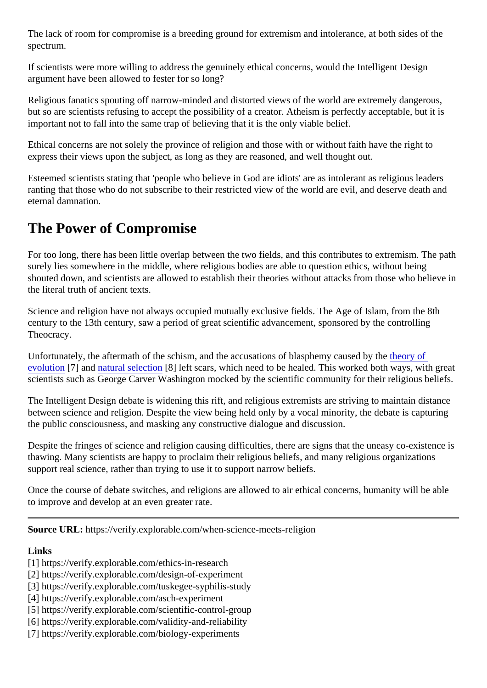The lack of room for compromise is a breeding ground for extremism and intolerance, at both sides of the spectrum.

If scientists were more willing to address the genuinely ethical concerns, would the Intelligent Design argument have been allowed to fester for so long?

Religious fanatics spouting off narrow-minded and distorted views of the world are extremely dangerous, but so are scientists refusing to accept the possibility of a creator. Atheism is perfectly acceptable, but it is important not to fall into the same trap of believing that it is the only viable belief.

Ethical concerns are not solely the province of religion and those with or without faith have the right to express their views upon the subject, as long as they are reasoned, and well thought out.

Esteemed scientists stating that 'people who believe in God are idiots' are as intolerant as religious leader ranting that those who do not subscribe to their restricted view of the world are evil, and deserve death and eternal damnation.

## The Power of Compromise

For too long, there has been little overlap between the two fields, and this contributes to extremism. The path surely lies somewhere in the middle, where religious bodies are able to question ethics, without being shouted down, and scientists are allowed to establish their theories without attacks from those who believe the literal truth of ancient texts.

Science and religion have not always occupied mutually exclusive fields. The Age of Islam, from the 8th century to the 13th century, saw a period of great scientific advancement, sponsored by the controlling Theocracy.

Unfortunately, the aftermath of the schism, and the accusations of blasphemy caused by the [evolution](https://verify.explorable.com/biology-experiments)[7] and [natural selectio](https://verify.explorable.com/darwins-finches)n [8] left scars, which need to be healed. This worked both ways, with great scientists such as George Carver Washington mocked by the scientific community for their religious belief.

The Intelligent Design debate is widening this rift, and religious extremists are striving to maintain distance between science and religion. Despite the view being held only by a vocal minority, the debate is capturing the public consciousness, and masking any constructive dialogue and discussion.

Despite the fringes of science and religion causing difficulties, there are signs that the uneasy co-existence thawing. Many scientists are happy to proclaim their religious beliefs, and many religious organizations support real science, rather than trying to use it to support narrow beliefs.

Once the course of debate switches, and religions are allowed to air ethical concerns, humanity will be able to improve and develop at an even greater rate.

Source URL: https://verify.explorable.com/when-science-meets-religion

Links

- [1] https://verify.explorable.com/ethics-in-research
- [2] https://verify.explorable.com/design-of-experiment
- [3] https://verify.explorable.com/tuskegee-syphilis-study
- [4] https://verify.explorable.com/asch-experiment
- [5] https://verify.explorable.com/scientific-control-group
- [6] https://verify.explorable.com/validity-and-reliability
- [7] https://verify.explorable.com/biology-experiments